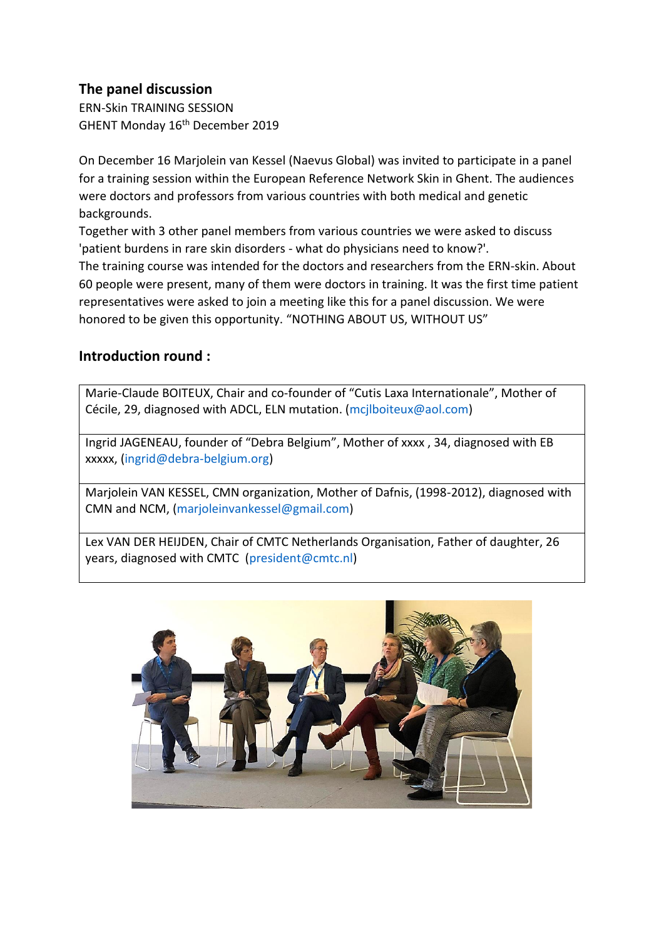# **The panel discussion**

ERN-Skin TRAINING SESSION GHENT Monday 16<sup>th</sup> December 2019

On December 16 Marjolein van Kessel (Naevus Global) was invited to participate in a panel for a training session within the European Reference Network Skin in Ghent. The audiences were doctors and professors from various countries with both medical and genetic backgrounds.

Together with 3 other panel members from various countries we were asked to discuss 'patient burdens in rare skin disorders - what do physicians need to know?'.

The training course was intended for the doctors and researchers from the ERN-skin. About 60 people were present, many of them were doctors in training. It was the first time patient representatives were asked to join a meeting like this for a panel discussion. We were honored to be given this opportunity. "NOTHING ABOUT US, WITHOUT US"

# **Introduction round :**

Marie-Claude BOITEUX, Chair and co-founder of "Cutis Laxa Internationale", Mother of Cécile, 29, diagnosed with ADCL, ELN mutation. [\(mcjlboiteux@aol.com\)](mailto:mcjlboiteux@aol.com)

Ingrid JAGENEAU, founder of "Debra Belgium", Mother of xxxx , 34, diagnosed with EB xxxxx, [\(ingrid@debra-belgium.org\)](mailto:ingrid@debra-belgium.org)

Marjolein VAN KESSEL, CMN organization, Mother of Dafnis, (1998-2012), diagnosed with CMN and NCM, [\(marjoleinvankessel@gmail.com\)](mailto:marjoleinvankessel@gmail.com)

Lex VAN DER HEIJDEN, Chair of CMTC Netherlands Organisation, Father of daughter, 26 years, diagnosed with CMTC [\(president@cmtc.nl\)](mailto:president@cmtc.nl)

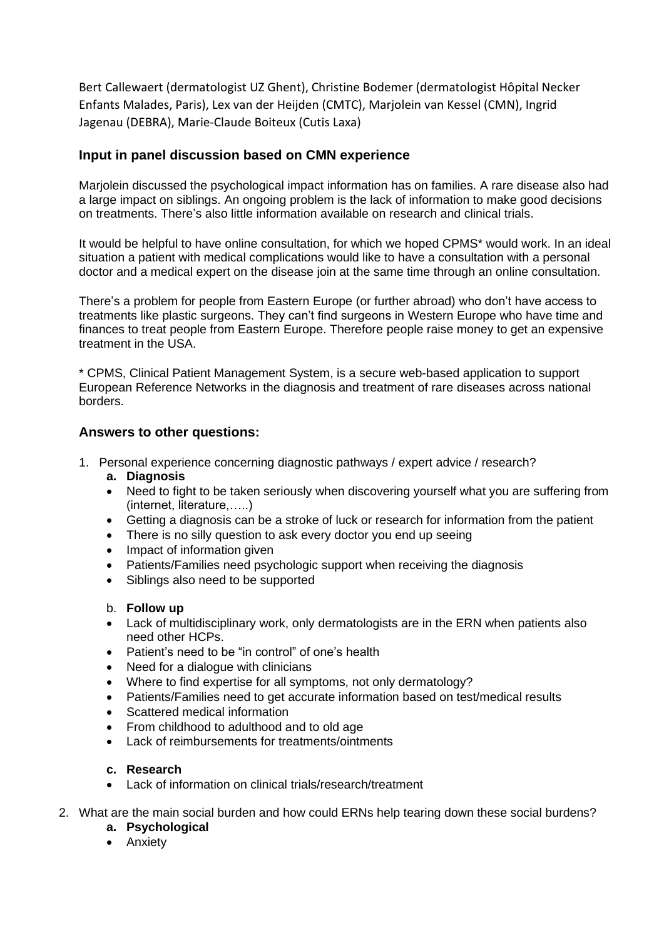Bert Callewaert (dermatologist UZ Ghent), Christine Bodemer (dermatologist Hôpital Necker Enfants Malades, Paris), Lex van der Heijden (CMTC), Marjolein van Kessel (CMN), Ingrid Jagenau (DEBRA), Marie-Claude Boiteux (Cutis Laxa)

## **Input in panel discussion based on CMN experience**

Marjolein discussed the psychological impact information has on families. A rare disease also had a large impact on siblings. An ongoing problem is the lack of information to make good decisions on treatments. There's also little information available on research and clinical trials.

It would be helpful to have online consultation, for which we hoped CPMS\* would work. In an ideal situation a patient with medical complications would like to have a consultation with a personal doctor and a medical expert on the disease join at the same time through an online consultation.

There's a problem for people from Eastern Europe (or further abroad) who don't have access to treatments like plastic surgeons. They can't find surgeons in Western Europe who have time and finances to treat people from Eastern Europe. Therefore people raise money to get an expensive treatment in the USA.

\* CPMS, Clinical Patient Management System, is a secure web-based application to support European Reference Networks in the diagnosis and treatment of rare diseases across national borders.

## **Answers to other questions:**

- 1. Personal experience concerning diagnostic pathways / expert advice / research?
	- **a. Diagnosis**
	- Need to fight to be taken seriously when discovering yourself what you are suffering from (internet, literature,…..)
	- Getting a diagnosis can be a stroke of luck or research for information from the patient
	- There is no silly question to ask every doctor you end up seeing
	- Impact of information given
	- Patients/Families need psychologic support when receiving the diagnosis
	- Siblings also need to be supported

### b. **Follow up**

- Lack of multidisciplinary work, only dermatologists are in the ERN when patients also need other HCPs.
- Patient's need to be "in control" of one's health
- Need for a dialogue with clinicians
- Where to find expertise for all symptoms, not only dermatology?
- Patients/Families need to get accurate information based on test/medical results
- Scattered medical information
- From childhood to adulthood and to old age
- Lack of reimbursements for treatments/ointments

### **c. Research**

- Lack of information on clinical trials/research/treatment
- 2. What are the main social burden and how could ERNs help tearing down these social burdens?
	- **a. Psychological**
	- Anxiety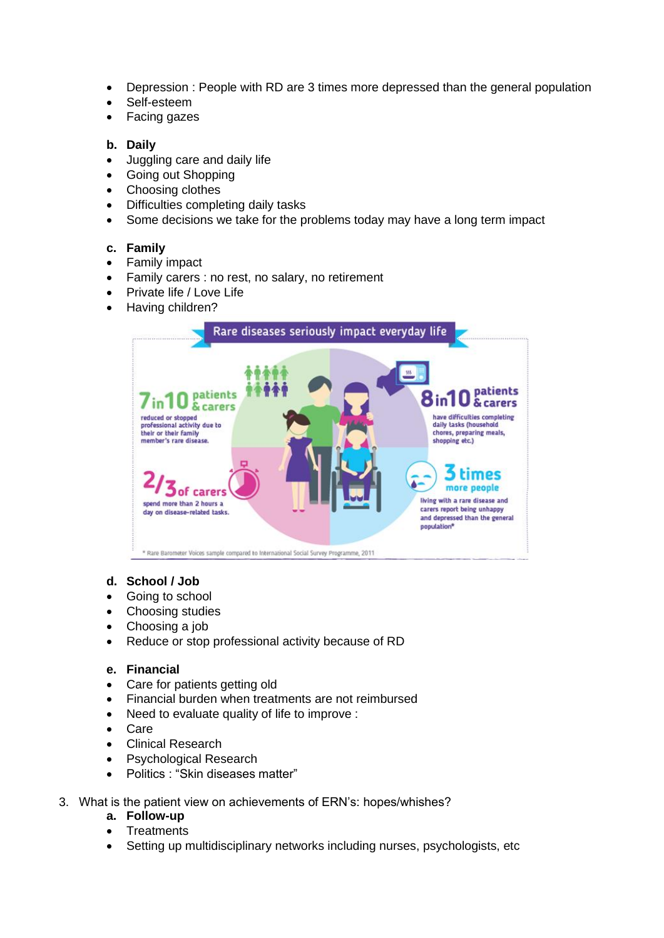- Depression : People with RD are 3 times more depressed than the general population
- Self-esteem
- Facing gazes

### **b. Daily**

- Juggling care and daily life
- Going out Shopping
- Choosing clothes
- Difficulties completing daily tasks
- Some decisions we take for the problems today may have a long term impact

## **c. Family**

- Family impact
- Family carers : no rest, no salary, no retirement
- Private life / Love Life
- Having children?



### **d. School / Job**

- Going to school
- Choosing studies
- Choosing a job
- Reduce or stop professional activity because of RD

### **e. Financial**

- Care for patients getting old
- Financial burden when treatments are not reimbursed
- Need to evaluate quality of life to improve :
- Care
- Clinical Research
- Psychological Research
- Politics : "Skin diseases matter"
- 3. What is the patient view on achievements of ERN's: hopes/whishes?
	- **a. Follow-up**
		- **Treatments**
		- Setting up multidisciplinary networks including nurses, psychologists, etc